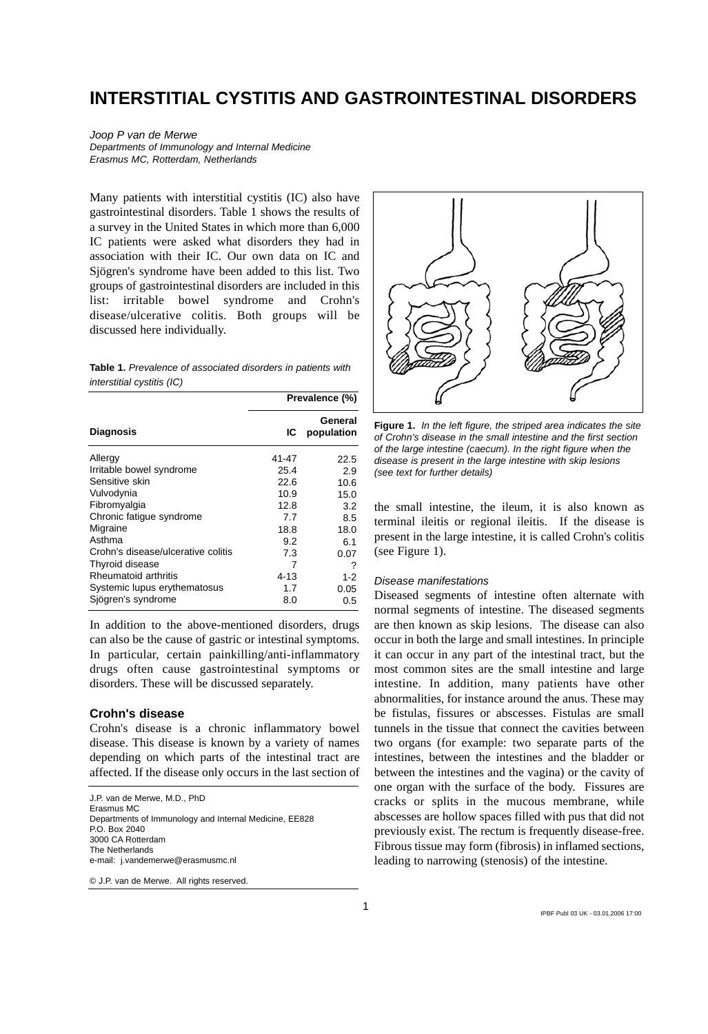# **INTERSTITIAL CYSTITIS AND GASTROINTESTINAL DISORDERS**

#### *Joop P van de Merwe Departments of Immunology and Internal Medicine Erasmus MC, Rotterdam, Netherlands*

Many patients with interstitial cystitis (IC) also have gastrointestinal disorders. Table 1 shows the results of a survey in the United States in which more than 6,000 IC patients were asked what disorders they had in association with their IC. Our own data on IC and Sjögren's syndrome have been added to this list. Two groups of gastrointestinal disorders are included in this list: irritable bowel syndrome and Crohn's disease/ulcerative colitis. Both groups will be discussed here individually.

**Table 1.** *Prevalence of associated disorders in patients with interstitial cystitis (IC)* 

|                                    | Prevalence (%) |                       |
|------------------------------------|----------------|-----------------------|
| <b>Diagnosis</b>                   | ΙC             | General<br>population |
| Allergy                            | 41-47          | 22.5                  |
| Irritable bowel syndrome           | 25.4           | 2.9                   |
| Sensitive skin                     | 22.6           | 10.6                  |
| Vulvodynia                         | 10.9           | 15.0                  |
| Fibromyalgia                       | 12.8           | 3.2                   |
| Chronic fatigue syndrome           | 7.7            | 8.5                   |
| Migraine                           | 18.8           | 18.0                  |
| Asthma                             | 9.2            | 6.1                   |
| Crohn's disease/ulcerative colitis | 7.3            | 0.07                  |
| Thyroid disease                    | 7              |                       |
| Rheumatoid arthritis               | 4-13           | $1 - 2$               |
| Systemic lupus erythematosus       | 1.7            | 0.05                  |
| Sjögren's syndrome                 | 8.0            | 0.5                   |

In addition to the above-mentioned disorders, drugs can also be the cause of gastric or intestinal symptoms. In particular, certain painkilling/anti-inflammatory drugs often cause gastrointestinal symptoms or disorders. These will be discussed separately.

### **Crohn's disease**

Crohn's disease is a chronic inflammatory bowel disease. This disease is known by a variety of names depending on which parts of the intestinal tract are affected. If the disease only occurs in the last section of

J.P. van de Merwe, M.D., PhD Erasmus MC Departments of Immunology and Internal Medicine, EE828 P.O. Box 2040 3000 CA Rotterdam The Netherlands e-mail: j.vandemerwe@erasmusmc.nl

© J.P. van de Merwe. All rights reserved.



**Figure 1.** *In the left figure, the striped area indicates the site of Crohn's disease in the small intestine and the first section of the large intestine (caecum). In the right figure when the disease is present in the large intestine with skip lesions (see text for further details)* 

the small intestine, the ileum, it is also known as terminal ileitis or regional ileitis. If the disease is present in the large intestine, it is called Crohn's colitis (see Figure 1).

#### *Disease manifestations*

Diseased segments of intestine often alternate with normal segments of intestine. The diseased segments are then known as skip lesions. The disease can also occur in both the large and small intestines. In principle it can occur in any part of the intestinal tract, but the most common sites are the small intestine and large intestine. In addition, many patients have other abnormalities, for instance around the anus. These may be fistulas, fissures or abscesses. Fistulas are small tunnels in the tissue that connect the cavities between two organs (for example: two separate parts of the intestines, between the intestines and the bladder or between the intestines and the vagina) or the cavity of one organ with the surface of the body. Fissures are cracks or splits in the mucous membrane, while abscesses are hollow spaces filled with pus that did not previously exist. The rectum is frequently disease-free. Fibrous tissue may form (fibrosis) in inflamed sections, leading to narrowing (stenosis) of the intestine.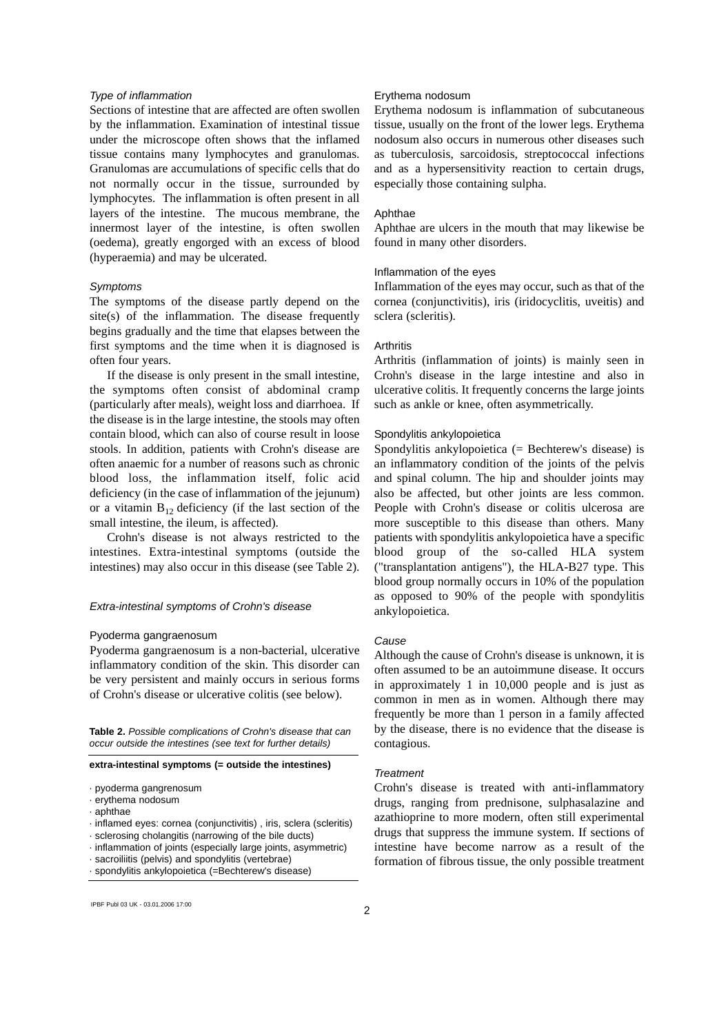#### *Type of inflammation*

Sections of intestine that are affected are often swollen by the inflammation. Examination of intestinal tissue under the microscope often shows that the inflamed tissue contains many lymphocytes and granulomas. Granulomas are accumulations of specific cells that do not normally occur in the tissue, surrounded by lymphocytes. The inflammation is often present in all layers of the intestine. The mucous membrane, the innermost layer of the intestine, is often swollen (oedema), greatly engorged with an excess of blood (hyperaemia) and may be ulcerated.

### *Symptoms*

The symptoms of the disease partly depend on the site(s) of the inflammation. The disease frequently begins gradually and the time that elapses between the first symptoms and the time when it is diagnosed is often four years.

If the disease is only present in the small intestine, the symptoms often consist of abdominal cramp (particularly after meals), weight loss and diarrhoea. If the disease is in the large intestine, the stools may often contain blood, which can also of course result in loose stools. In addition, patients with Crohn's disease are often anaemic for a number of reasons such as chronic blood loss, the inflammation itself, folic acid deficiency (in the case of inflammation of the jejunum) or a vitamin  $B_{12}$  deficiency (if the last section of the small intestine, the ileum, is affected).

Crohn's disease is not always restricted to the intestines. Extra-intestinal symptoms (outside the intestines) may also occur in this disease (see Table 2).

### *Extra-intestinal symptoms of Crohn's disease*

### Pyoderma gangraenosum

Pyoderma gangraenosum is a non-bacterial, ulcerative inflammatory condition of the skin. This disorder can be very persistent and mainly occurs in serious forms of Crohn's disease or ulcerative colitis (see below).

**Table 2.** *Possible complications of Crohn's disease that can occur outside the intestines (see text for further details)*

### **extra-intestinal symptoms (= outside the intestines)**

- · pyoderma gangrenosum
- · erythema nodosum
- · aphthae
- · inflamed eyes: cornea (conjunctivitis) , iris, sclera (scleritis)
- · sclerosing cholangitis (narrowing of the bile ducts)
- · inflammation of joints (especially large joints, asymmetric)
- · sacroiliitis (pelvis) and spondylitis (vertebrae)
- · spondylitis ankylopoietica (=Bechterew's disease)

# 2 IPBF Publ 03 UK - 03.01.2006 17:00

### Erythema nodosum

Erythema nodosum is inflammation of subcutaneous tissue, usually on the front of the lower legs. Erythema nodosum also occurs in numerous other diseases such as tuberculosis, sarcoidosis, streptococcal infections and as a hypersensitivity reaction to certain drugs, especially those containing sulpha.

### Aphthae

Aphthae are ulcers in the mouth that may likewise be found in many other disorders.

#### Inflammation of the eyes

Inflammation of the eyes may occur, such as that of the cornea (conjunctivitis), iris (iridocyclitis, uveitis) and sclera (scleritis).

## **Arthritis**

Arthritis (inflammation of joints) is mainly seen in Crohn's disease in the large intestine and also in ulcerative colitis. It frequently concerns the large joints such as ankle or knee, often asymmetrically.

### Spondylitis ankylopoietica

Spondylitis ankylopoietica (= Bechterew's disease) is an inflammatory condition of the joints of the pelvis and spinal column. The hip and shoulder joints may also be affected, but other joints are less common. People with Crohn's disease or colitis ulcerosa are more susceptible to this disease than others. Many patients with spondylitis ankylopoietica have a specific blood group of the so-called HLA system ("transplantation antigens"), the HLA-B27 type. This blood group normally occurs in 10% of the population as opposed to 90% of the people with spondylitis ankylopoietica.

### *Cause*

Although the cause of Crohn's disease is unknown, it is often assumed to be an autoimmune disease. It occurs in approximately 1 in 10,000 people and is just as common in men as in women. Although there may frequently be more than 1 person in a family affected by the disease, there is no evidence that the disease is contagious.

### *Treatment*

Crohn's disease is treated with anti-inflammatory drugs, ranging from prednisone, sulphasalazine and azathioprine to more modern, often still experimental drugs that suppress the immune system. If sections of intestine have become narrow as a result of the formation of fibrous tissue, the only possible treatment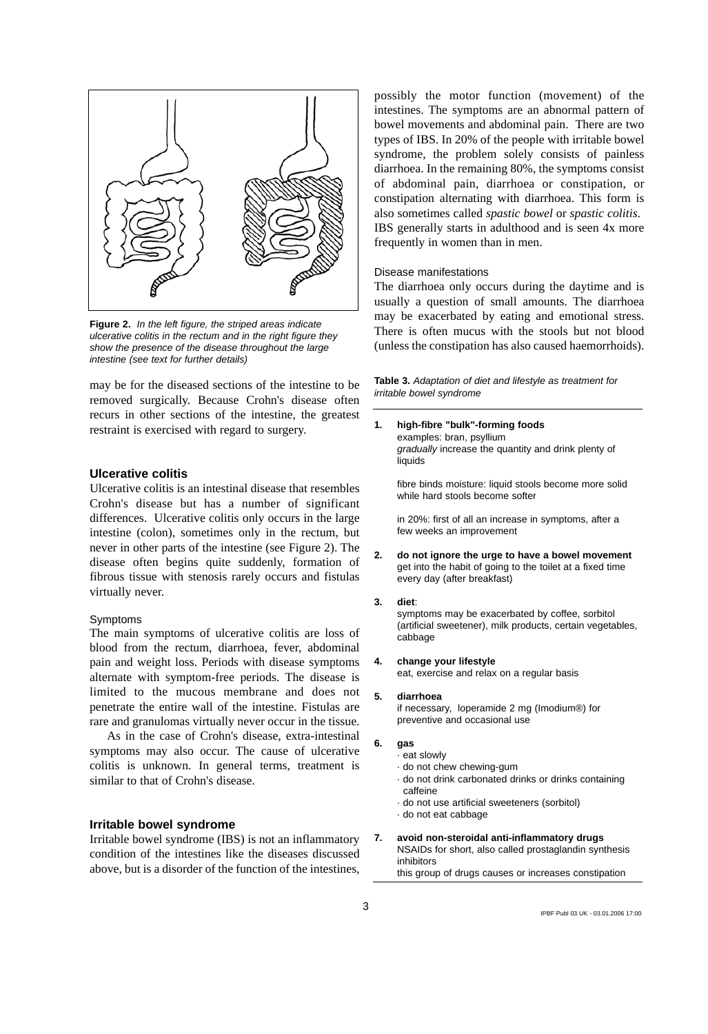

**Figure 2.** *In the left figure, the striped areas indicate ulcerative colitis in the rectum and in the right figure they show the presence of the disease throughout the large intestine (see text for further details)* 

may be for the diseased sections of the intestine to be removed surgically. Because Crohn's disease often recurs in other sections of the intestine, the greatest restraint is exercised with regard to surgery.

### **Ulcerative colitis**

Ulcerative colitis is an intestinal disease that resembles Crohn's disease but has a number of significant differences. Ulcerative colitis only occurs in the large intestine (colon), sometimes only in the rectum, but never in other parts of the intestine (see Figure 2). The disease often begins quite suddenly, formation of fibrous tissue with stenosis rarely occurs and fistulas virtually never.

#### Symptoms

The main symptoms of ulcerative colitis are loss of blood from the rectum, diarrhoea, fever, abdominal pain and weight loss. Periods with disease symptoms alternate with symptom-free periods. The disease is limited to the mucous membrane and does not penetrate the entire wall of the intestine. Fistulas are rare and granulomas virtually never occur in the tissue.

As in the case of Crohn's disease, extra-intestinal symptoms may also occur. The cause of ulcerative colitis is unknown. In general terms, treatment is similar to that of Crohn's disease.

# **Irritable bowel syndrome**

Irritable bowel syndrome (IBS) is not an inflammatory condition of the intestines like the diseases discussed above, but is a disorder of the function of the intestines,

possibly the motor function (movement) of the intestines. The symptoms are an abnormal pattern of bowel movements and abdominal pain. There are two types of IBS. In 20% of the people with irritable bowel syndrome, the problem solely consists of painless diarrhoea. In the remaining 80%, the symptoms consist of abdominal pain, diarrhoea or constipation, or constipation alternating with diarrhoea. This form is also sometimes called *spastic bowel* or *spastic colitis*. IBS generally starts in adulthood and is seen 4x more frequently in women than in men.

### Disease manifestations

The diarrhoea only occurs during the daytime and is usually a question of small amounts. The diarrhoea may be exacerbated by eating and emotional stress. There is often mucus with the stools but not blood (unless the constipation has also caused haemorrhoids).

**Table 3.** *Adaptation of diet and lifestyle as treatment for irritable bowel syndrome*

**1. high-fibre "bulk"-forming foods**  examples: bran, psyllium *gradually* increase the quantity and drink plenty of liquids

fibre binds moisture: liquid stools become more solid while hard stools become softer

in 20%: first of all an increase in symptoms, after a few weeks an improvement

**2. do not ignore the urge to have a bowel movement**  get into the habit of going to the toilet at a fixed time every day (after breakfast)

#### **3. diet**:

symptoms may be exacerbated by coffee, sorbitol (artificial sweetener), milk products, certain vegetables, cabbage

#### **4. change your lifestyle**

eat, exercise and relax on a regular basis

### **5. diarrhoea**

if necessary, loperamide 2 mg (Imodium®) for preventive and occasional use

### **6. gas**

- · eat slowly
- · do not chew chewing-gum
- · do not drink carbonated drinks or drinks containing caffeine
- · do not use artificial sweeteners (sorbitol)
- · do not eat cabbage
- **7. avoid non-steroidal anti-inflammatory drugs**  NSAIDs for short, also called prostaglandin synthesis inhibitors this group of drugs causes or increases constipation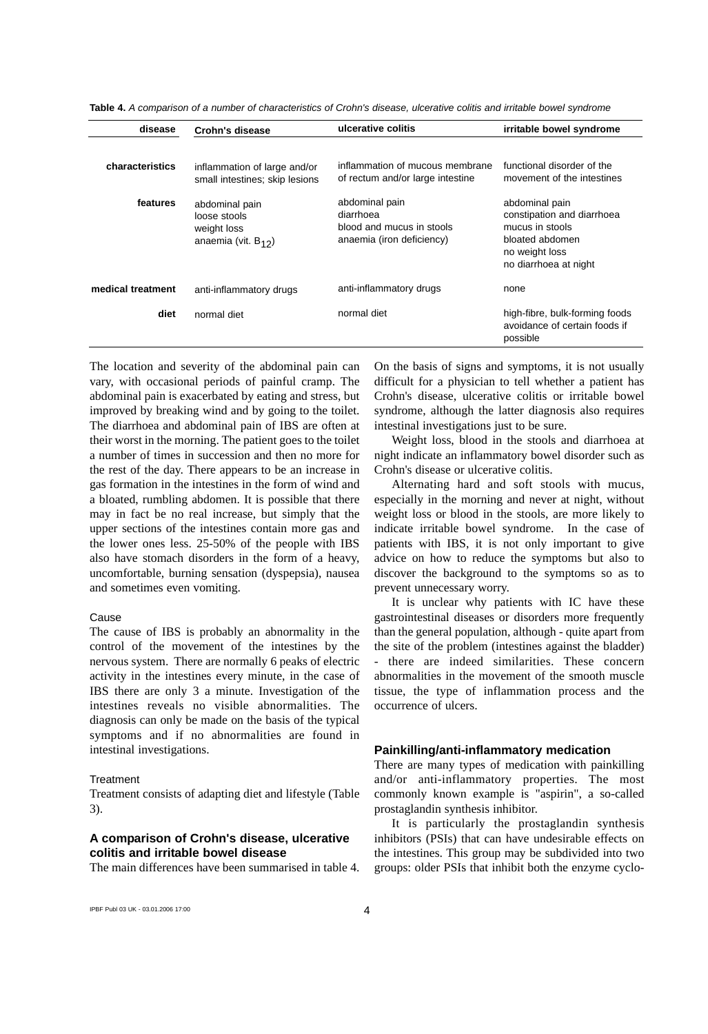| disease           | Crohn's disease                                                           | ulcerative colitis                                                                    | irritable bowel syndrome                                                                                                      |
|-------------------|---------------------------------------------------------------------------|---------------------------------------------------------------------------------------|-------------------------------------------------------------------------------------------------------------------------------|
| characteristics   | inflammation of large and/or<br>small intestines; skip lesions            | inflammation of mucous membrane<br>of rectum and/or large intestine                   | functional disorder of the<br>movement of the intestines                                                                      |
| features          | abdominal pain<br>loose stools<br>weight loss<br>anaemia (vit. $B_{12}$ ) | abdominal pain<br>diarrhoea<br>blood and mucus in stools<br>anaemia (iron deficiency) | abdominal pain<br>constipation and diarrhoea<br>mucus in stools<br>bloated abdomen<br>no weight loss<br>no diarrhoea at night |
| medical treatment | anti-inflammatory drugs                                                   | anti-inflammatory drugs                                                               | none                                                                                                                          |
| diet              | normal diet                                                               | normal diet                                                                           | high-fibre, bulk-forming foods<br>avoidance of certain foods if<br>possible                                                   |

**Table 4.** *A comparison of a number of characteristics of Crohn's disease, ulcerative colitis and irritable bowel syndrome*

The location and severity of the abdominal pain can vary, with occasional periods of painful cramp. The abdominal pain is exacerbated by eating and stress, but improved by breaking wind and by going to the toilet. The diarrhoea and abdominal pain of IBS are often at their worst in the morning. The patient goes to the toilet a number of times in succession and then no more for the rest of the day. There appears to be an increase in gas formation in the intestines in the form of wind and a bloated, rumbling abdomen. It is possible that there may in fact be no real increase, but simply that the upper sections of the intestines contain more gas and the lower ones less. 25-50% of the people with IBS also have stomach disorders in the form of a heavy, uncomfortable, burning sensation (dyspepsia), nausea and sometimes even vomiting.

### Cause

The cause of IBS is probably an abnormality in the control of the movement of the intestines by the nervous system. There are normally 6 peaks of electric activity in the intestines every minute, in the case of IBS there are only 3 a minute. Investigation of the intestines reveals no visible abnormalities. The diagnosis can only be made on the basis of the typical symptoms and if no abnormalities are found in intestinal investigations.

### **Treatment**

Treatment consists of adapting diet and lifestyle (Table 3).

# **A comparison of Crohn's disease, ulcerative colitis and irritable bowel disease**

The main differences have been summarised in table 4.

On the basis of signs and symptoms, it is not usually difficult for a physician to tell whether a patient has Crohn's disease, ulcerative colitis or irritable bowel syndrome, although the latter diagnosis also requires intestinal investigations just to be sure.

Weight loss, blood in the stools and diarrhoea at night indicate an inflammatory bowel disorder such as Crohn's disease or ulcerative colitis.

Alternating hard and soft stools with mucus, especially in the morning and never at night, without weight loss or blood in the stools, are more likely to indicate irritable bowel syndrome. In the case of patients with IBS, it is not only important to give advice on how to reduce the symptoms but also to discover the background to the symptoms so as to prevent unnecessary worry.

It is unclear why patients with IC have these gastrointestinal diseases or disorders more frequently than the general population, although - quite apart from the site of the problem (intestines against the bladder) - there are indeed similarities. These concern abnormalities in the movement of the smooth muscle tissue, the type of inflammation process and the occurrence of ulcers.

### **Painkilling/anti-inflammatory medication**

There are many types of medication with painkilling and/or anti-inflammatory properties. The most commonly known example is "aspirin", a so-called prostaglandin synthesis inhibitor.

It is particularly the prostaglandin synthesis inhibitors (PSIs) that can have undesirable effects on the intestines. This group may be subdivided into two groups: older PSIs that inhibit both the enzyme cyclo-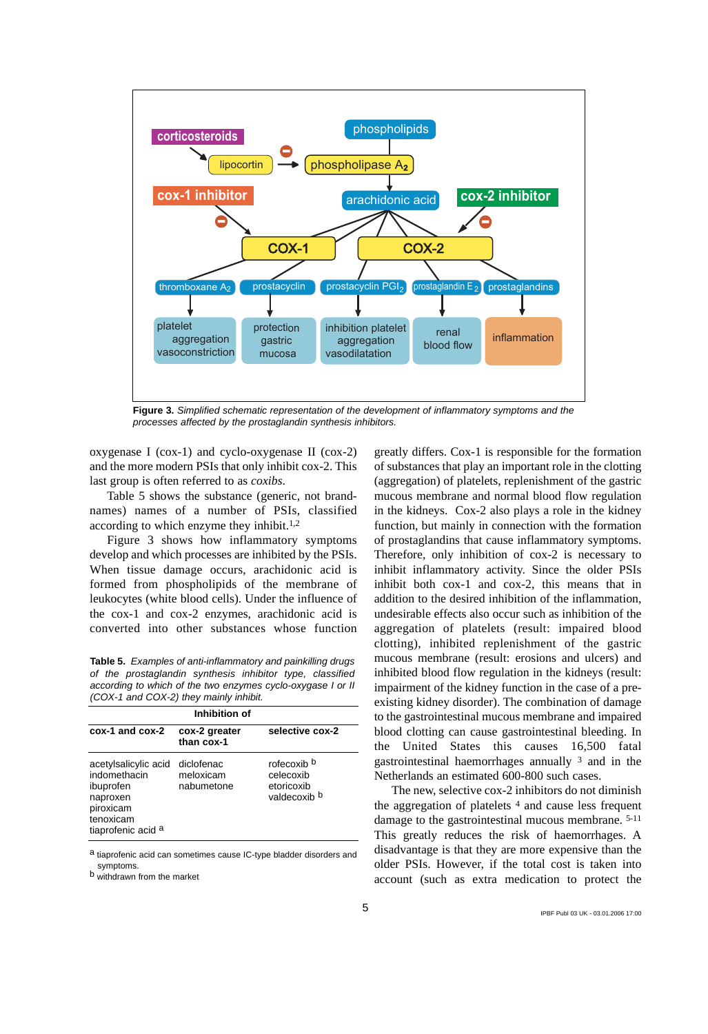

**Figure 3.** *Simplified schematic representation of the development of inflammatory symptoms and the processes affected by the prostaglandin synthesis inhibitors.*

oxygenase I (cox-1) and cyclo-oxygenase II (cox-2) and the more modern PSIs that only inhibit cox-2. This last group is often referred to as *coxibs*.

Table 5 shows the substance (generic, not brandnames) names of a number of PSIs, classified according to which enzyme they inhibit.1,2

Figure 3 shows how inflammatory symptoms develop and which processes are inhibited by the PSIs. When tissue damage occurs, arachidonic acid is formed from phospholipids of the membrane of leukocytes (white blood cells). Under the influence of the cox-1 and cox-2 enzymes, arachidonic acid is converted into other substances whose function

**Table 5.** *Examples of anti-inflammatory and painkilling drugs of the prostaglandin synthesis inhibitor type, classified according to which of the two enzymes cyclo-oxygase I or II (COX-1 and COX-2) they mainly inhibit.* 

| Inhibition of                                                                                                 |                                       |                                                                   |  |  |  |
|---------------------------------------------------------------------------------------------------------------|---------------------------------------|-------------------------------------------------------------------|--|--|--|
| cox-1 and cox-2                                                                                               | cox-2 greater<br>than cox-1           | selective cox-2                                                   |  |  |  |
| acetylsalicylic acid<br>indomethacin<br>ibuprofen<br>naproxen<br>piroxicam<br>tenoxicam<br>tiaprofenic acid a | diclofenac<br>meloxicam<br>nabumetone | rofecoxib <sup>b</sup><br>celecoxib<br>etoricoxib<br>valdecoxib b |  |  |  |

a tiaprofenic acid can sometimes cause IC-type bladder disorders and symptoms.

b withdrawn from the market

greatly differs. Cox-1 is responsible for the formation of substances that play an important role in the clotting (aggregation) of platelets, replenishment of the gastric mucous membrane and normal blood flow regulation in the kidneys. Cox-2 also plays a role in the kidney function, but mainly in connection with the formation of prostaglandins that cause inflammatory symptoms. Therefore, only inhibition of cox-2 is necessary to inhibit inflammatory activity. Since the older PSIs inhibit both cox-1 and cox-2, this means that in addition to the desired inhibition of the inflammation, undesirable effects also occur such as inhibition of the aggregation of platelets (result: impaired blood clotting), inhibited replenishment of the gastric mucous membrane (result: erosions and ulcers) and inhibited blood flow regulation in the kidneys (result: impairment of the kidney function in the case of a preexisting kidney disorder). The combination of damage to the gastrointestinal mucous membrane and impaired blood clotting can cause gastrointestinal bleeding. In the United States this causes 16,500 fatal gastrointestinal haemorrhages annually 3 and in the Netherlands an estimated 600-800 such cases.

The new, selective cox-2 inhibitors do not diminish the aggregation of platelets  $4$  and cause less frequent damage to the gastrointestinal mucous membrane. 5-11 This greatly reduces the risk of haemorrhages. A disadvantage is that they are more expensive than the older PSIs. However, if the total cost is taken into account (such as extra medication to protect the